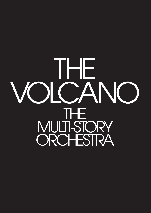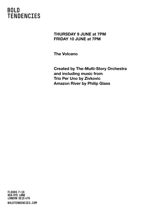#### **THURSDAY 9 JUNE at 7PM FRIDAY 10 JUNE at 7PM**

**The Volcano**

**Created by The-Multi-Story Orchestra and including music from Trio Per Uno by Zivkovic Amazon River by Philip Glass**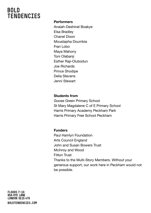#### **Performers**

Anaiah-Deshinel Boakye Elsa Bradley Chanel Dixon Moustapha Doumbia Fran Lobo Maya Mahony Toni Olabanji Esther Raji-Olubodun Joe Richards Prince Shodipe Delia Stevens Jenni Stewart

#### **Students from**

Goose Green Primary School St Mary Magdalene C of E Primary School Harris Primary Academy Peckham Park Harris Primary Free School Peckham

#### **Funders**

Paul Hamlyn Foundation Arts Council England John and Susan Bowers Trust McInroy and Wood Fitton Trust Thanks to the Multi-Story Members. Without your generous support, our work here in Peckham would not be possible.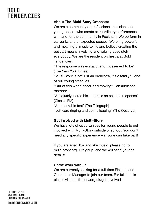#### **About The-Multi-Story Orchestra**

We are a community of professional musicians and young people who create extraordinary performances with and for the community in Peckham. We perform in car parks and unexpected spaces. We bring powerful and meaningful music to life and believe creating the best art means involving and valuing absolutely everybody. We are the resident orchestra at Bold Tendencies.

"The response was ecstatic, and it deserved to be" (The New York Times)

"Multi-Story is not just an orchestra, it's a family" - one of our young creatives

"Out of this world good, and moving" - an audience member

"Absolutely incredible…there is an ecstatic response" (Classic FM)

"A remarkable feat' (The Telegraph)

"Left ears ringing and spirits leaping" (The Observer)

#### **Get involved with Multi-Story**

We have lots of opportunities for young people to get involved with Multi-Story outside of school. You don't need any specific experience – anyone can take part!

If you are aged 13+ and like music, please go to multi-story.org.uk/signup and we will send you the details!

#### **Come work with us**

We are currently looking for a full-time Finance and Operations Manager to join our team. For full details please visit multi-story.org.uk/get-involved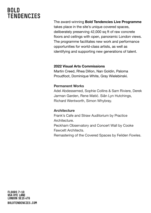The award-winning **Bold Tendencies Live Programme** takes place in the site's unique covered spaces, deliberately preserving 42,000 sq ft of raw concrete floors and ceilings with open, panoramic London views. The programme facilitates new work and performance opportunities for world-class artists, as well as identifying and supporting new generations of talent.

#### **2022 Visual Arts Commissions**

Martin Creed, Rhea Dillon, Nan Goldin, Paloma Proudfoot, Dominique White, Gray Wielebinski.

#### **Permanent Works**

Adel Abdessemed, Sophie Collins & Sam Riviere, Derek Jarman Garden, Rene Matić. Siân Lyn Hutchings, Richard Wentworth, Simon Whybray.

#### **Architecture**

Frank's Cafe and Straw Auditorium by Practice Architecture. Peckham Observatory and Concert Wall by Cooke Fawcett Architects. Remastering of the Covered Spaces by Feilden Fowles.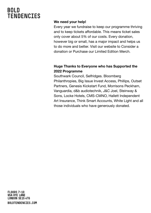#### **We need your help!**

Every year we fundraise to keep our programme thriving and to keep tickets affordable. This means ticket sales only cover about 5% of our costs. Every donation, however big or small, has a major impact and helps us to do more and better. Visit our website to Consider a donation or Purchase our Limited Edition Merch.

#### **Huge Thanks to Everyone who has Supported the 2022 Programme**

Southwark Council, Selfridges. Bloomberg Philanthropies, Big Issue Invest Access, Phillips, Outset Partners, Genesis Kickstart Fund, Morrisons Peckham, Vanguardia, d&b audiotechnik, J&C Joel, Steinway & Sons, Locke Hotels, CMS-CMNO, Hallett Independent Art Insurance, Think Smart Accounts, White Light and all those individuals who have generously donated.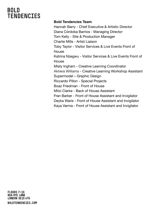#### **Bold Tendencies Team**

Hannah Barry - Chief Executive & Artistic Director Diana Córdoba Barrios - Managing Director Tom Kelly - Site & Production Manager Charlie Mills - Artist Liaison Toby Taylor - Visitor Services & Live Events Front of **House** Katrina Nzegwu - Visitor Services & Live Events Front of House Misty Ingham - Creative Learning Coordinator Akhera Williams - Creative Learning Workshop Assistant Supermodel – Graphic Design Riccardo Pillon - Special Projects Boaz Friedman - Front of House Mitzi Clarke - Back of House Assistant Fran Barker - Front of House Assistant and Invigilator Deyka Waris - Front of House Assistant and Invigilator Kaya Varma - Front of House Assistant and Invigilator